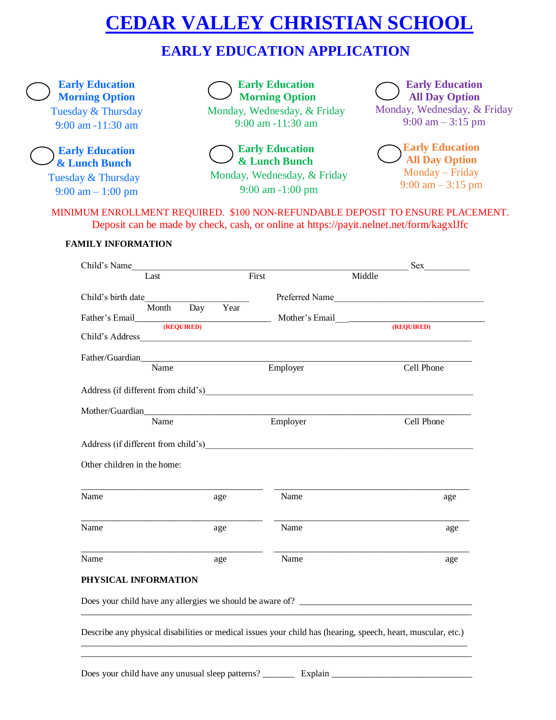# **CEDAR VALLEY CHRISTIAN SCHOOL**

## **EARLY EDUCATION APPLICATION**

**Early Education Morning Option** Tuesday & Thursday 9:00 am -11:30 am

**Early Education & Lunch Bunch**

Tuesday & Thursday 9:00 am – 1:00 pm



Monday, Wednesday, & Friday 9:00 am -11:30 am



Monday, Wednesday, & Friday 9:00 am -1:00 pm

**Early Education All Day Option** Monday, Wednesday, & Friday 9:00 am – 3:15 pm

**Early Education All Day Option** Monday – Friday 9:00 am – 3:15 pm

 MINIMUM ENROLLMENT REQUIRED. \$100 NON-REFUNDABLE DEPOSIT TO ENSURE PLACEMENT. Deposit can be made by check, cash, or online at https://payit.nelnet.net/form/kagxlJfc

#### **FAMILY INFORMATION**

|                                     | Sex                                   |  |
|-------------------------------------|---------------------------------------|--|
| First                               | Middle                                |  |
|                                     | Preferred Name                        |  |
| Year                                | (REQUIRED)                            |  |
| Child's Address                     |                                       |  |
| Father/Guardian                     |                                       |  |
| Employer                            | Cell Phone                            |  |
|                                     |                                       |  |
|                                     |                                       |  |
|                                     | Cell Phone                            |  |
| Address (if different from child's) |                                       |  |
|                                     |                                       |  |
| Name                                | age                                   |  |
| Name                                | age                                   |  |
| Name                                | age                                   |  |
|                                     |                                       |  |
|                                     |                                       |  |
|                                     |                                       |  |
|                                     | Father's Email (REQUIRED)<br>Employer |  |

Does your child have any unusual sleep patterns? \_\_\_\_\_\_\_ Explain \_\_\_\_\_\_\_\_\_\_\_\_\_\_\_\_\_\_\_\_\_\_\_\_\_\_\_\_\_\_\_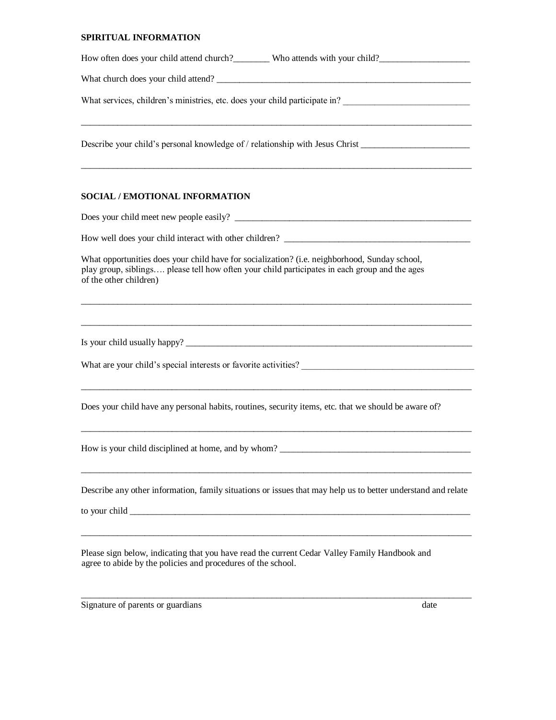#### **SPIRITUAL INFORMATION**

| How often does your child attend church?__________ Who attends with your child?_____________________                                                                                                                     |
|--------------------------------------------------------------------------------------------------------------------------------------------------------------------------------------------------------------------------|
|                                                                                                                                                                                                                          |
|                                                                                                                                                                                                                          |
| Describe your child's personal knowledge of / relationship with Jesus Christ ______________________                                                                                                                      |
| SOCIAL / EMOTIONAL INFORMATION                                                                                                                                                                                           |
|                                                                                                                                                                                                                          |
|                                                                                                                                                                                                                          |
| What opportunities does your child have for socialization? (i.e. neighborhood, Sunday school,<br>play group, siblings please tell how often your child participates in each group and the ages<br>of the other children) |
|                                                                                                                                                                                                                          |
|                                                                                                                                                                                                                          |
| Does your child have any personal habits, routines, security items, etc. that we should be aware of?                                                                                                                     |
| How is your child disciplined at home, and by whom?                                                                                                                                                                      |
| Describe any other information, family situations or issues that may help us to better understand and relate                                                                                                             |
| Please sign below, indicating that you have read the current Cedar Valley Family Handbook and<br>agree to abide by the policies and procedures of the school.                                                            |

 $\_$  ,  $\_$  ,  $\_$  ,  $\_$  ,  $\_$  ,  $\_$  ,  $\_$  ,  $\_$  ,  $\_$  ,  $\_$  ,  $\_$  ,  $\_$  ,  $\_$  ,  $\_$  ,  $\_$  ,  $\_$  ,  $\_$  ,  $\_$  ,  $\_$  ,  $\_$  ,  $\_$  ,  $\_$  ,  $\_$  ,  $\_$  ,  $\_$  ,  $\_$  ,  $\_$  ,  $\_$  ,  $\_$  ,  $\_$  ,  $\_$  ,  $\_$  ,  $\_$  ,  $\_$  ,  $\_$  ,  $\_$  ,  $\_$  ,

Signature of parents or guardians date